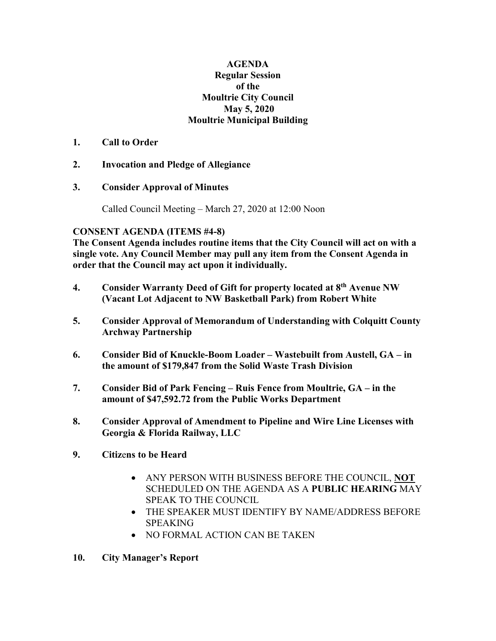## **AGENDA Regular Session of the Moultrie City Council May 5, 2020 Moultrie Municipal Building**

## **1. Call to Order**

- **2. Invocation and Pledge of Allegiance**
- **3. Consider Approval of Minutes**

Called Council Meeting – March 27, 2020 at 12:00 Noon

## **CONSENT AGENDA (ITEMS #4-8)**

**The Consent Agenda includes routine items that the City Council will act on with a single vote. Any Council Member may pull any item from the Consent Agenda in order that the Council may act upon it individually.**

- **4. Consider Warranty Deed of Gift for property located at 8th Avenue NW (Vacant Lot Adjacent to NW Basketball Park) from Robert White**
- **5. Consider Approval of Memorandum of Understanding with Colquitt County Archway Partnership**
- **6. Consider Bid of Knuckle-Boom Loader – Wastebuilt from Austell, GA – in the amount of \$179,847 from the Solid Waste Trash Division**
- **7. Consider Bid of Park Fencing – Ruis Fence from Moultrie, GA – in the amount of \$47,592.72 from the Public Works Department**
- **8. Consider Approval of Amendment to Pipeline and Wire Line Licenses with Georgia & Florida Railway, LLC**
- **9. Citiz**e**ns to be Heard**
	- ANY PERSON WITH BUSINESS BEFORE THE COUNCIL, **NOT** SCHEDULED ON THE AGENDA AS A **PUBLIC HEARING** MAY SPEAK TO THE COUNCIL.
	- THE SPEAKER MUST IDENTIFY BY NAME/ADDRESS BEFORE SPEAKING
	- NO FORMAL ACTION CAN BE TAKEN
- **10. City Manager's Report**